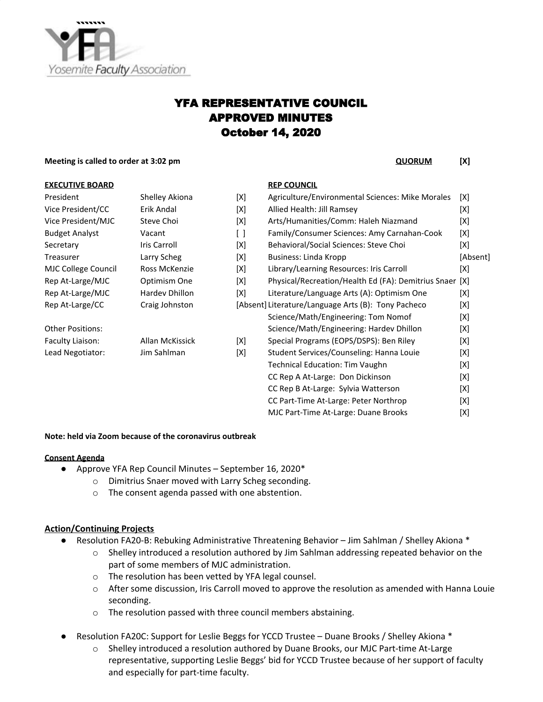

# YFA REPRESENTATIVE COUNCIL APPROVED MINUTES October 14, 2020

### **IDENTIFY CONTRACT CONTRACT CONTRACT CONTRACT CONTRACT CONTRACT CONTRACT CONTRACT CONTRACT CONTRACT CONTRACT CONTRACT CONTRACT CONTRACT CONTRACT CONTRACT CONTRACT CONTRACT CONTRACT CONTRACT CONTRACT CONTRACT CONTRACT CONTR**

### **EXECUTIVE BOARD REP COUNCIL**

| President                  | Shelley Akiona  | [X] | Agriculture/Environmental Sciences: Mike Morales        | [X]      |
|----------------------------|-----------------|-----|---------------------------------------------------------|----------|
| Vice President/CC          | Erik Andal      | [X] | Allied Health: Jill Ramsey                              | [X]      |
| Vice President/MJC         | Steve Choi      | [X] | Arts/Humanities/Comm: Haleh Niazmand                    | [X]      |
| <b>Budget Analyst</b>      | Vacant          | [ ] | Family/Consumer Sciences: Amy Carnahan-Cook             | [X]      |
| Secretary                  | Iris Carroll    | [X] | Behavioral/Social Sciences: Steve Choi                  | [X]      |
| Treasurer                  | Larry Scheg     | [X] | Business: Linda Kropp                                   | [Absent] |
| <b>MJC College Council</b> | Ross McKenzie   | [X] | Library/Learning Resources: Iris Carroll                | [X]      |
| Rep At-Large/MJC           | Optimism One    | [X] | Physical/Recreation/Health Ed (FA): Demitrius Snaer [X] |          |
| Rep At-Large/MJC           | Hardev Dhillon  | [X] | Literature/Language Arts (A): Optimism One              | [X]      |
| Rep At-Large/CC            | Craig Johnston  |     | [Absent] Literature/Language Arts (B): Tony Pacheco     |          |
|                            |                 |     | Science/Math/Engineering: Tom Nomof                     | [X]      |
| <b>Other Positions:</b>    |                 |     | Science/Math/Engineering: Hardev Dhillon                | [X]      |
| Faculty Liaison:           | Allan McKissick | [X] | Special Programs (EOPS/DSPS): Ben Riley                 | [X]      |
| Lead Negotiator:           | Jim Sahlman     | [X] | Student Services/Counseling: Hanna Louie                | [X]      |
|                            |                 |     | <b>Technical Education: Tim Vaughn</b>                  | [X]      |
|                            |                 |     | CC Rep A At-Large: Don Dickinson                        | [X]      |
|                            |                 |     | CC Rep B At-Large: Sylvia Watterson                     | [X]      |
|                            |                 |     | CC Part-Time At-Large: Peter Northrop                   | [X]      |

**Note: held via Zoom because of the coronavirus outbreak**

### **Consent Agenda**

- Approve YFA Rep Council Minutes September 16, 2020\*
	- o Dimitrius Snaer moved with Larry Scheg seconding.
	- o The consent agenda passed with one abstention.

## **Action/Continuing Projects**

- Resolution FA20-B: Rebuking Administrative Threatening Behavior Jim Sahlman / Shelley Akiona \*
	- $\circ$  Shelley introduced a resolution authored by Jim Sahlman addressing repeated behavior on the part of some members of MJC administration.

MJC Part-Time At-Large: Duane Brooks [X]

- o The resolution has been vetted by YFA legal counsel.
- o After some discussion, Iris Carroll moved to approve the resolution as amended with Hanna Louie seconding.
- o The resolution passed with three council members abstaining.
- Resolution FA20C: Support for Leslie Beggs for YCCD Trustee Duane Brooks / Shelley Akiona \*
	- o Shelley introduced a resolution authored by Duane Brooks, our MJC Part-time At-Large representative, supporting Leslie Beggs' bid for YCCD Trustee because of her support of faculty and especially for part-time faculty.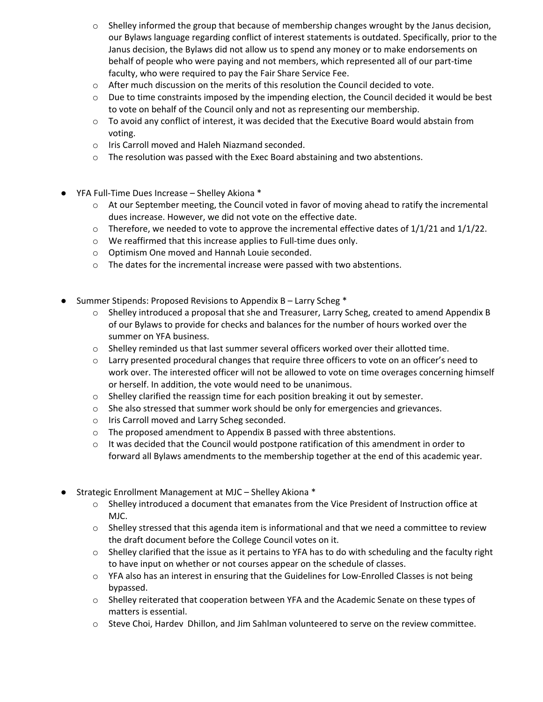- $\circ$  Shelley informed the group that because of membership changes wrought by the Janus decision, our Bylaws language regarding conflict of interest statements is outdated. Specifically, prior to the Janus decision, the Bylaws did not allow us to spend any money or to make endorsements on behalf of people who were paying and not members, which represented all of our part-time faculty, who were required to pay the Fair Share Service Fee.
- o After much discussion on the merits of this resolution the Council decided to vote.
- o Due to time constraints imposed by the impending election, the Council decided it would be best to vote on behalf of the Council only and not as representing our membership.
- $\circ$  To avoid any conflict of interest, it was decided that the Executive Board would abstain from voting.
- o Iris Carroll moved and Haleh Niazmand seconded.
- o The resolution was passed with the Exec Board abstaining and two abstentions.
- YFA Full-Time Dues Increase Shelley Akiona \*
	- o At our September meeting, the Council voted in favor of moving ahead to ratify the incremental dues increase. However, we did not vote on the effective date.
	- $\circ$  Therefore, we needed to vote to approve the incremental effective dates of 1/1/21 and 1/1/22.
	- o We reaffirmed that this increase applies to Full-time dues only.
	- o Optimism One moved and Hannah Louie seconded.
	- o The dates for the incremental increase were passed with two abstentions.
- Summer Stipends: Proposed Revisions to Appendix B Larry Scheg  $*$ 
	- $\circ$  Shelley introduced a proposal that she and Treasurer, Larry Scheg, created to amend Appendix B of our Bylaws to provide for checks and balances for the number of hours worked over the summer on YFA business.
	- $\circ$  Shelley reminded us that last summer several officers worked over their allotted time.
	- o Larry presented procedural changes that require three officers to vote on an officer's need to work over. The interested officer will not be allowed to vote on time overages concerning himself or herself. In addition, the vote would need to be unanimous.
	- $\circ$  Shelley clarified the reassign time for each position breaking it out by semester.
	- $\circ$  She also stressed that summer work should be only for emergencies and grievances.
	- o Iris Carroll moved and Larry Scheg seconded.
	- o The proposed amendment to Appendix B passed with three abstentions.
	- $\circ$  It was decided that the Council would postpone ratification of this amendment in order to forward all Bylaws amendments to the membership together at the end of this academic year.
- Strategic Enrollment Management at MJC Shelley Akiona \*
	- o Shelley introduced a document that emanates from the Vice President of Instruction office at MJC.
	- $\circ$  Shelley stressed that this agenda item is informational and that we need a committee to review the draft document before the College Council votes on it.
	- $\circ$  Shelley clarified that the issue as it pertains to YFA has to do with scheduling and the faculty right to have input on whether or not courses appear on the schedule of classes.
	- o YFA also has an interest in ensuring that the Guidelines for Low-Enrolled Classes is not being bypassed.
	- o Shelley reiterated that cooperation between YFA and the Academic Senate on these types of matters is essential.
	- o Steve Choi, Hardev Dhillon, and Jim Sahlman volunteered to serve on the review committee.